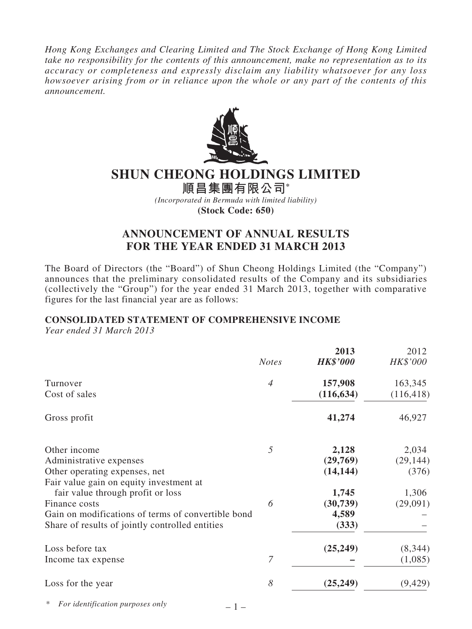*Hong Kong Exchanges and Clearing Limited and The Stock Exchange of Hong Kong Limited take no responsibility for the contents of this announcement, make no representation as to its accuracy or completeness and expressly disclaim any liability whatsoever for any loss howsoever arising from or in reliance upon the whole or any part of the contents of this announcement.*



# **SHUN CHEONG HOLDINGS LIMITED**

**順昌集團有限公司\*** *(Incorporated in Bermuda with limited liability)* **(Stock Code: 650)**

## **ANNOUNCEMENT OF ANNUAL RESULTS FOR THE YEAR ENDED 31 MARCH 2013**

The Board of Directors (the "Board") of Shun Cheong Holdings Limited (the "Company") announces that the preliminary consolidated results of the Company and its subsidiaries (collectively the "Group") for the year ended 31 March 2013, together with comparative figures for the last financial year are as follows:

# **CONSOLIDATED STATEMENT OF COMPREHENSIVE INCOME**

*Year ended 31 March 2013*

|                                                                          | <b>Notes</b>   | 2013<br><b>HK\$'000</b> | 2012<br>HK\$'000 |
|--------------------------------------------------------------------------|----------------|-------------------------|------------------|
| Turnover                                                                 | $\overline{4}$ | 157,908                 | 163,345          |
| Cost of sales                                                            |                | (116, 634)              | (116, 418)       |
| Gross profit                                                             |                | 41,274                  | 46,927           |
| Other income                                                             | 5              | 2,128                   | 2,034            |
| Administrative expenses                                                  |                | (29,769)                | (29, 144)        |
| Other operating expenses, net<br>Fair value gain on equity investment at |                | (14, 144)               | (376)            |
| fair value through profit or loss                                        |                | 1,745                   | 1,306            |
| Finance costs                                                            | 6              | (30, 739)               | (29,091)         |
| Gain on modifications of terms of convertible bond                       |                | 4,589                   |                  |
| Share of results of jointly controlled entities                          |                | (333)                   |                  |
| Loss before tax                                                          |                | (25, 249)               | (8, 344)         |
| Income tax expense                                                       | $\overline{7}$ |                         | (1,085)          |
| Loss for the year                                                        | 8              | (25, 249)               | (9, 429)         |
| For identification purposes only<br>$\mathbf{1}$                         |                |                         |                  |

 $-1-$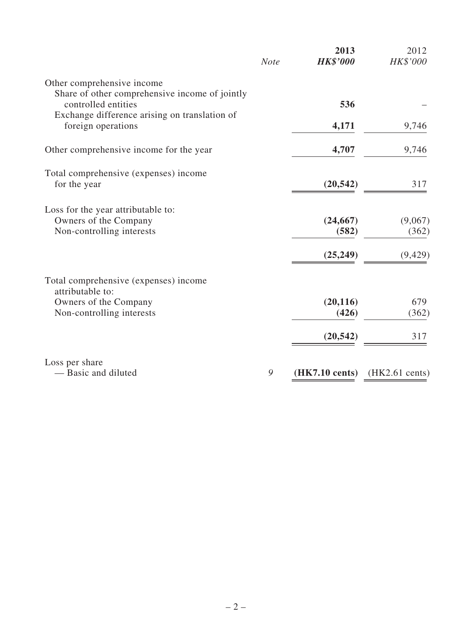|                                                                                          | <b>Note</b> | 2013<br><b>HK\$'000</b>  | 2012<br>HK\$'000         |
|------------------------------------------------------------------------------------------|-------------|--------------------------|--------------------------|
| Other comprehensive income                                                               |             |                          |                          |
| Share of other comprehensive income of jointly<br>controlled entities                    |             | 536                      |                          |
| Exchange difference arising on translation of<br>foreign operations                      |             | 4,171                    | 9,746                    |
| Other comprehensive income for the year                                                  |             | 4,707                    | 9,746                    |
| Total comprehensive (expenses) income<br>for the year                                    |             | (20, 542)                | 317                      |
| Loss for the year attributable to:<br>Owners of the Company<br>Non-controlling interests |             | (24, 667)<br>(582)       | (9,067)<br>(362)         |
|                                                                                          |             | (25, 249)                | (9, 429)                 |
| Total comprehensive (expenses) income<br>attributable to:                                |             |                          |                          |
| Owners of the Company<br>Non-controlling interests                                       |             | (20, 116)<br>(426)       | 679<br>(362)             |
|                                                                                          |             | (20, 542)                | 317                      |
| Loss per share<br>- Basic and diluted                                                    | 9           | $(HK7.10 \text{ cents})$ | $(HK2.61 \text{ cents})$ |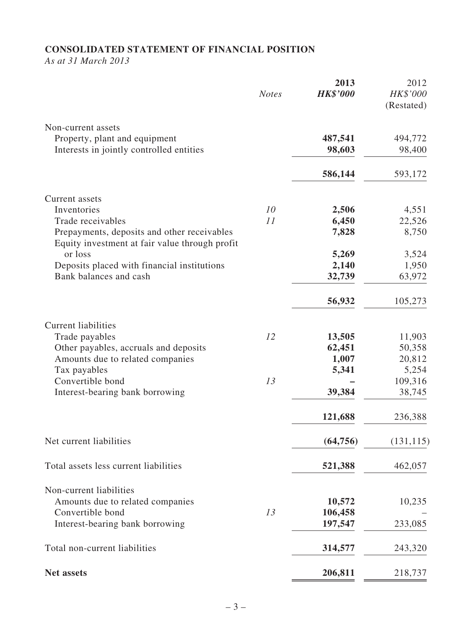# **CONSOLIDATED STATEMENT OF FINANCIAL POSITION**

*As at 31 March 2013*

|                                                                                               | <b>Notes</b> | 2013<br><b>HK\$'000</b> | 2012<br>HK\$'000<br>(Restated) |
|-----------------------------------------------------------------------------------------------|--------------|-------------------------|--------------------------------|
| Non-current assets                                                                            |              |                         |                                |
| Property, plant and equipment                                                                 |              | 487,541                 | 494,772                        |
| Interests in jointly controlled entities                                                      |              | 98,603                  | 98,400                         |
|                                                                                               |              | 586,144                 | 593,172                        |
| Current assets                                                                                |              |                         |                                |
| Inventories                                                                                   | 10           | 2,506                   | 4,551                          |
| Trade receivables                                                                             | 11           | 6,450                   | 22,526                         |
| Prepayments, deposits and other receivables<br>Equity investment at fair value through profit |              | 7,828                   | 8,750                          |
| or loss                                                                                       |              | 5,269                   | 3,524                          |
| Deposits placed with financial institutions                                                   |              | 2,140                   | 1,950                          |
| Bank balances and cash                                                                        |              | 32,739                  | 63,972                         |
|                                                                                               |              | 56,932                  | 105,273                        |
| <b>Current liabilities</b>                                                                    |              |                         |                                |
| Trade payables                                                                                | 12           | 13,505                  | 11,903                         |
| Other payables, accruals and deposits                                                         |              | 62,451                  | 50,358                         |
| Amounts due to related companies                                                              |              | 1,007                   | 20,812                         |
| Tax payables                                                                                  |              | 5,341                   | 5,254                          |
| Convertible bond                                                                              | 13           |                         | 109,316                        |
| Interest-bearing bank borrowing                                                               |              | 39,384                  | 38,745                         |
|                                                                                               |              | 121,688                 | 236,388                        |
| Net current liabilities                                                                       |              | (64, 756)               | (131, 115)                     |
| Total assets less current liabilities                                                         |              | 521,388                 | 462,057                        |
| Non-current liabilities                                                                       |              |                         |                                |
| Amounts due to related companies                                                              |              | 10,572                  | 10,235                         |
| Convertible bond                                                                              | 13           | 106,458                 |                                |
| Interest-bearing bank borrowing                                                               |              | 197,547                 | 233,085                        |
| Total non-current liabilities                                                                 |              | 314,577                 | 243,320                        |
| <b>Net assets</b>                                                                             |              | 206,811                 | 218,737                        |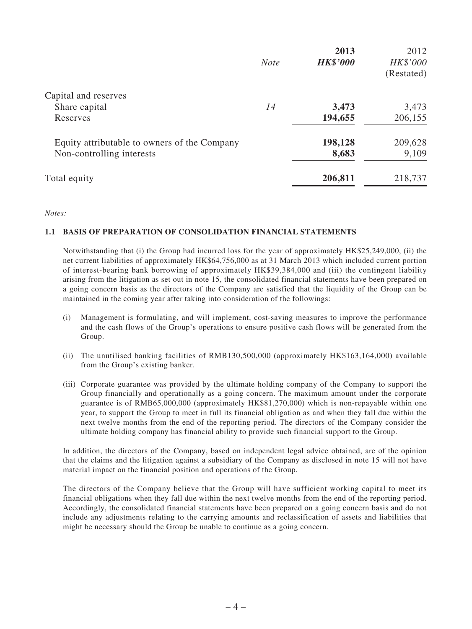|                                              | <b>Note</b> | 2013<br><b>HK\$'000</b> | 2012<br>HK\$'000 |
|----------------------------------------------|-------------|-------------------------|------------------|
|                                              |             |                         | (Restated)       |
| Capital and reserves                         |             |                         |                  |
| Share capital                                | 14          | 3,473                   | 3,473            |
| Reserves                                     |             | 194,655                 | 206,155          |
| Equity attributable to owners of the Company |             | 198,128                 | 209,628          |
| Non-controlling interests                    |             | 8,683                   | 9,109            |
| Total equity                                 |             | 206,811                 | 218,737          |

*Notes:*

### **1.1 BASIS OF PREPARATION OF CONSOLIDATION FINANCIAL STATEMENTS**

Notwithstanding that (i) the Group had incurred loss for the year of approximately HK\$25,249,000, (ii) the net current liabilities of approximately HK\$64,756,000 as at 31 March 2013 which included current portion of interest-bearing bank borrowing of approximately HK\$39,384,000 and (iii) the contingent liability arising from the litigation as set out in note 15, the consolidated financial statements have been prepared on a going concern basis as the directors of the Company are satisfied that the liquidity of the Group can be maintained in the coming year after taking into consideration of the followings:

- (i) Management is formulating, and will implement, cost-saving measures to improve the performance and the cash flows of the Group's operations to ensure positive cash flows will be generated from the Group.
- (ii) The unutilised banking facilities of RMB130,500,000 (approximately HK\$163,164,000) available from the Group's existing banker.
- (iii) Corporate guarantee was provided by the ultimate holding company of the Company to support the Group financially and operationally as a going concern. The maximum amount under the corporate guarantee is of RMB65,000,000 (approximately HK\$81,270,000) which is non-repayable within one year, to support the Group to meet in full its financial obligation as and when they fall due within the next twelve months from the end of the reporting period. The directors of the Company consider the ultimate holding company has financial ability to provide such financial support to the Group.

In addition, the directors of the Company, based on independent legal advice obtained, are of the opinion that the claims and the litigation against a subsidiary of the Company as disclosed in note 15 will not have material impact on the financial position and operations of the Group.

The directors of the Company believe that the Group will have sufficient working capital to meet its financial obligations when they fall due within the next twelve months from the end of the reporting period. Accordingly, the consolidated financial statements have been prepared on a going concern basis and do not include any adjustments relating to the carrying amounts and reclassification of assets and liabilities that might be necessary should the Group be unable to continue as a going concern.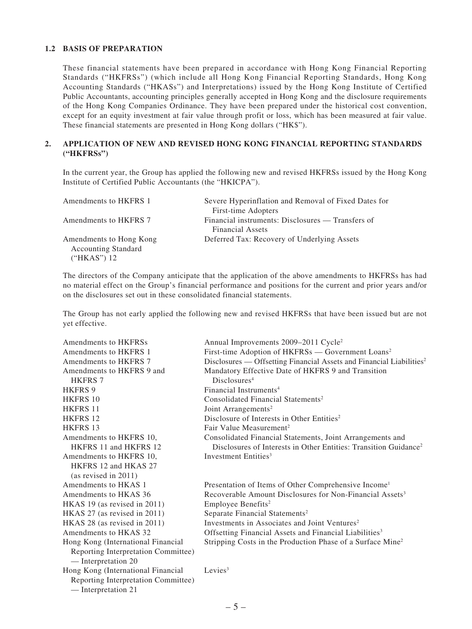### **1.2 BASIS OF PREPARATION**

These financial statements have been prepared in accordance with Hong Kong Financial Reporting Standards ("HKFRSs") (which include all Hong Kong Financial Reporting Standards, Hong Kong Accounting Standards ("HKASs") and Interpretations) issued by the Hong Kong Institute of Certified Public Accountants, accounting principles generally accepted in Hong Kong and the disclosure requirements of the Hong Kong Companies Ordinance. They have been prepared under the historical cost convention, except for an equity investment at fair value through profit or loss, which has been measured at fair value. These financial statements are presented in Hong Kong dollars ("HK\$").

## **2. APPLICATION OF NEW AND REVISED HONG KONG FINANCIAL REPORTING STANDARDS ("HKFRSs")**

In the current year, the Group has applied the following new and revised HKFRSs issued by the Hong Kong Institute of Certified Public Accountants (the "HKICPA").

| Amendments to HKFRS 1                                                | Severe Hyperinflation and Removal of Fixed Dates for<br>First-time Adopters  |
|----------------------------------------------------------------------|------------------------------------------------------------------------------|
| Amendments to HKFRS 7                                                | Financial instruments: Disclosures — Transfers of<br><b>Financial Assets</b> |
| Amendments to Hong Kong<br><b>Accounting Standard</b><br>("HKAS") 12 | Deferred Tax: Recovery of Underlying Assets                                  |

The directors of the Company anticipate that the application of the above amendments to HKFRSs has had no material effect on the Group's financial performance and positions for the current and prior years and/or on the disclosures set out in these consolidated financial statements.

The Group has not early applied the following new and revised HKFRSs that have been issued but are not yet effective.

| Amendments to HKFRSs                | Annual Improvements 2009–2011 Cycle <sup>2</sup>                                 |
|-------------------------------------|----------------------------------------------------------------------------------|
| Amendments to HKFRS 1               | First-time Adoption of HKFRSs — Government Loans <sup>2</sup>                    |
| Amendments to HKFRS 7               | Disclosures — Offsetting Financial Assets and Financial Liabilities <sup>2</sup> |
| Amendments to HKFRS 9 and           | Mandatory Effective Date of HKFRS 9 and Transition                               |
| <b>HKFRS 7</b>                      | Disclosures <sup>4</sup>                                                         |
| <b>HKFRS 9</b>                      | Financial Instruments <sup>4</sup>                                               |
| <b>HKFRS 10</b>                     | Consolidated Financial Statements <sup>2</sup>                                   |
| <b>HKFRS 11</b>                     | Joint Arrangements <sup>2</sup>                                                  |
| <b>HKFRS 12</b>                     | Disclosure of Interests in Other Entities <sup>2</sup>                           |
| <b>HKFRS 13</b>                     | Fair Value Measurement <sup>2</sup>                                              |
| Amendments to HKFRS 10,             | Consolidated Financial Statements, Joint Arrangements and                        |
| HKFRS 11 and HKFRS 12               | Disclosures of Interests in Other Entities: Transition Guidance <sup>2</sup>     |
| Amendments to HKFRS 10,             | Investment Entities <sup>3</sup>                                                 |
| HKFRS 12 and HKAS 27                |                                                                                  |
| (as revised in 2011)                |                                                                                  |
| Amendments to HKAS 1                | Presentation of Items of Other Comprehensive Income <sup>1</sup>                 |
| Amendments to HKAS 36               | Recoverable Amount Disclosures for Non-Financial Assets <sup>3</sup>             |
| HKAS 19 (as revised in 2011)        | Employee Benefits <sup>2</sup>                                                   |
| HKAS 27 (as revised in 2011)        | Separate Financial Statements <sup>2</sup>                                       |
| HKAS 28 (as revised in 2011)        | Investments in Associates and Joint Ventures <sup>2</sup>                        |
| Amendments to HKAS 32               | Offsetting Financial Assets and Financial Liabilities <sup>3</sup>               |
| Hong Kong (International Financial  | Stripping Costs in the Production Phase of a Surface Mine <sup>2</sup>           |
| Reporting Interpretation Committee) |                                                                                  |
| — Interpretation 20                 |                                                                                  |
| Hong Kong (International Financial  | Levies <sup>3</sup>                                                              |
| Reporting Interpretation Committee) |                                                                                  |
| — Interpretation 21                 |                                                                                  |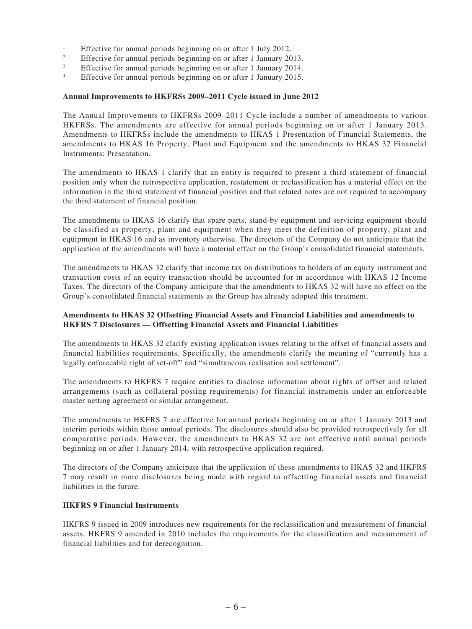- <sup>1</sup> Effective for annual periods beginning on or after 1 July 2012.<br> **Effective for annual periods beginning on or after 1 January 20**
- <sup>2</sup> Effective for annual periods beginning on or after 1 January 2013.
- <sup>3</sup> Effective for annual periods beginning on or after 1 January 2014.
- Effective for annual periods beginning on or after 1 January 2015.

#### **Annual Improvements to HKFRSs 2009–2011 Cycle issued in June 2012**

The Annual Improvements to HKFRSs 2009–2011 Cycle include a number of amendments to various HKFRSs. The amendments are effective for annual periods beginning on or after 1 January 2013. Amendments to HKFRSs include the amendments to HKAS 1 Presentation of Financial Statements, the amendments to HKAS 16 Property, Plant and Equipment and the amendments to HKAS 32 Financial Instruments: Presentation.

The amendments to HKAS 1 clarify that an entity is required to present a third statement of financial position only when the retrospective application, restatement or reclassification has a material effect on the information in the third statement of financial position and that related notes are not required to accompany the third statement of financial position.

The amendments to HKAS 16 clarify that spare parts, stand-by equipment and servicing equipment should be classified as property, plant and equipment when they meet the definition of property, plant and equipment in HKAS 16 and as inventory otherwise. The directors of the Company do not anticipate that the application of the amendments will have a material effect on the Group's consolidated financial statements.

The amendments to HKAS 32 clarify that income tax on distributions to holders of an equity instrument and transaction costs of an equity transaction should be accounted for in accordance with HKAS 12 Income Taxes. The directors of the Company anticipate that the amendments to HKAS 32 will have no effect on the Group's consolidated financial statements as the Group has already adopted this treatment.

### **Amendments to HKAS 32 Offsetting Financial Assets and Financial Liabilities and amendments to HKFRS 7 Disclosures — Offsetting Financial Assets and Financial Liabilities**

The amendments to HKAS 32 clarify existing application issues relating to the offset of financial assets and financial liabilities requirements. Specifically, the amendments clarify the meaning of "currently has a legally enforceable right of set-off" and "simultaneous realisation and settlement".

The amendments to HKFRS 7 require entities to disclose information about rights of offset and related arrangements (such as collateral posting requirements) for financial instruments under an enforceable master netting agreement or similar arrangement.

The amendments to HKFRS 7 are effective for annual periods beginning on or after 1 January 2013 and interim periods within those annual periods. The disclosures should also be provided retrospectively for all comparative periods. However, the amendments to HKAS 32 are not effective until annual periods beginning on or after 1 January 2014, with retrospective application required.

The directors of the Company anticipate that the application of these amendments to HKAS 32 and HKFRS 7 may result in more disclosures being made with regard to offsetting financial assets and financial liabilities in the future.

#### **HKFRS 9 Financial Instruments**

HKFRS 9 issued in 2009 introduces new requirements for the reclassification and measurement of financial assets. HKFRS 9 amended in 2010 includes the requirements for the classification and measurement of financial liabilities and for derecognition.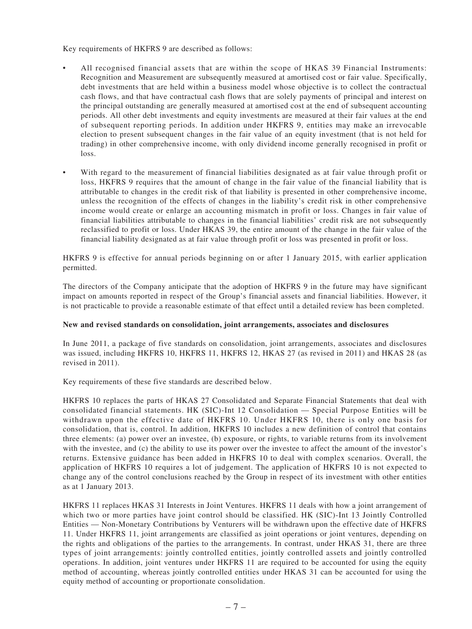Key requirements of HKFRS 9 are described as follows:

- All recognised financial assets that are within the scope of HKAS 39 Financial Instruments: Recognition and Measurement are subsequently measured at amortised cost or fair value. Specifically, debt investments that are held within a business model whose objective is to collect the contractual cash flows, and that have contractual cash flows that are solely payments of principal and interest on the principal outstanding are generally measured at amortised cost at the end of subsequent accounting periods. All other debt investments and equity investments are measured at their fair values at the end of subsequent reporting periods. In addition under HKFRS 9, entities may make an irrevocable election to present subsequent changes in the fair value of an equity investment (that is not held for trading) in other comprehensive income, with only dividend income generally recognised in profit or loss.
- • With regard to the measurement of financial liabilities designated as at fair value through profit or loss, HKFRS 9 requires that the amount of change in the fair value of the financial liability that is attributable to changes in the credit risk of that liability is presented in other comprehensive income, unless the recognition of the effects of changes in the liability's credit risk in other comprehensive income would create or enlarge an accounting mismatch in profit or loss. Changes in fair value of financial liabilities attributable to changes in the financial liabilities' credit risk are not subsequently reclassified to profit or loss. Under HKAS 39, the entire amount of the change in the fair value of the financial liability designated as at fair value through profit or loss was presented in profit or loss.

HKFRS 9 is effective for annual periods beginning on or after 1 January 2015, with earlier application permitted.

The directors of the Company anticipate that the adoption of HKFRS 9 in the future may have significant impact on amounts reported in respect of the Group's financial assets and financial liabilities. However, it is not practicable to provide a reasonable estimate of that effect until a detailed review has been completed.

#### **New and revised standards on consolidation, joint arrangements, associates and disclosures**

In June 2011, a package of five standards on consolidation, joint arrangements, associates and disclosures was issued, including HKFRS 10, HKFRS 11, HKFRS 12, HKAS 27 (as revised in 2011) and HKAS 28 (as revised in 2011).

Key requirements of these five standards are described below.

HKFRS 10 replaces the parts of HKAS 27 Consolidated and Separate Financial Statements that deal with consolidated financial statements. HK (SIC)-Int 12 Consolidation — Special Purpose Entities will be withdrawn upon the effective date of HKFRS 10. Under HKFRS 10, there is only one basis for consolidation, that is, control. In addition, HKFRS 10 includes a new definition of control that contains three elements: (a) power over an investee, (b) exposure, or rights, to variable returns from its involvement with the investee, and (c) the ability to use its power over the investee to affect the amount of the investor's returns. Extensive guidance has been added in HKFRS 10 to deal with complex scenarios. Overall, the application of HKFRS 10 requires a lot of judgement. The application of HKFRS 10 is not expected to change any of the control conclusions reached by the Group in respect of its investment with other entities as at 1 January 2013.

HKFRS 11 replaces HKAS 31 Interests in Joint Ventures. HKFRS 11 deals with how a joint arrangement of which two or more parties have joint control should be classified. HK (SIC)-Int 13 Jointly Controlled Entities — Non-Monetary Contributions by Venturers will be withdrawn upon the effective date of HKFRS 11. Under HKFRS 11, joint arrangements are classified as joint operations or joint ventures, depending on the rights and obligations of the parties to the arrangements. In contrast, under HKAS 31, there are three types of joint arrangements: jointly controlled entities, jointly controlled assets and jointly controlled operations. In addition, joint ventures under HKFRS 11 are required to be accounted for using the equity method of accounting, whereas jointly controlled entities under HKAS 31 can be accounted for using the equity method of accounting or proportionate consolidation.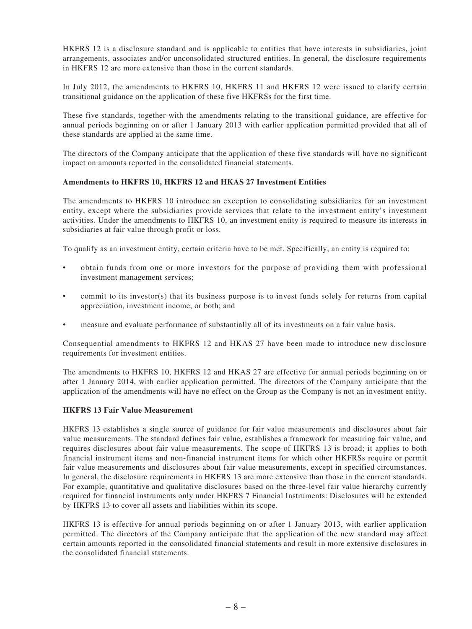HKFRS 12 is a disclosure standard and is applicable to entities that have interests in subsidiaries, joint arrangements, associates and/or unconsolidated structured entities. In general, the disclosure requirements in HKFRS 12 are more extensive than those in the current standards.

In July 2012, the amendments to HKFRS 10, HKFRS 11 and HKFRS 12 were issued to clarify certain transitional guidance on the application of these five HKFRSs for the first time.

These five standards, together with the amendments relating to the transitional guidance, are effective for annual periods beginning on or after 1 January 2013 with earlier application permitted provided that all of these standards are applied at the same time.

The directors of the Company anticipate that the application of these five standards will have no significant impact on amounts reported in the consolidated financial statements.

#### **Amendments to HKFRS 10, HKFRS 12 and HKAS 27 Investment Entities**

The amendments to HKFRS 10 introduce an exception to consolidating subsidiaries for an investment entity, except where the subsidiaries provide services that relate to the investment entity's investment activities. Under the amendments to HKFRS 10, an investment entity is required to measure its interests in subsidiaries at fair value through profit or loss.

To qualify as an investment entity, certain criteria have to be met. Specifically, an entity is required to:

- obtain funds from one or more investors for the purpose of providing them with professional investment management services;
- commit to its investor(s) that its business purpose is to invest funds solely for returns from capital appreciation, investment income, or both; and
- measure and evaluate performance of substantially all of its investments on a fair value basis.

Consequential amendments to HKFRS 12 and HKAS 27 have been made to introduce new disclosure requirements for investment entities.

The amendments to HKFRS 10, HKFRS 12 and HKAS 27 are effective for annual periods beginning on or after 1 January 2014, with earlier application permitted. The directors of the Company anticipate that the application of the amendments will have no effect on the Group as the Company is not an investment entity.

### **HKFRS 13 Fair Value Measurement**

HKFRS 13 establishes a single source of guidance for fair value measurements and disclosures about fair value measurements. The standard defines fair value, establishes a framework for measuring fair value, and requires disclosures about fair value measurements. The scope of HKFRS 13 is broad; it applies to both financial instrument items and non-financial instrument items for which other HKFRSs require or permit fair value measurements and disclosures about fair value measurements, except in specified circumstances. In general, the disclosure requirements in HKFRS 13 are more extensive than those in the current standards. For example, quantitative and qualitative disclosures based on the three-level fair value hierarchy currently required for financial instruments only under HKFRS 7 Financial Instruments: Disclosures will be extended by HKFRS 13 to cover all assets and liabilities within its scope.

HKFRS 13 is effective for annual periods beginning on or after 1 January 2013, with earlier application permitted. The directors of the Company anticipate that the application of the new standard may affect certain amounts reported in the consolidated financial statements and result in more extensive disclosures in the consolidated financial statements.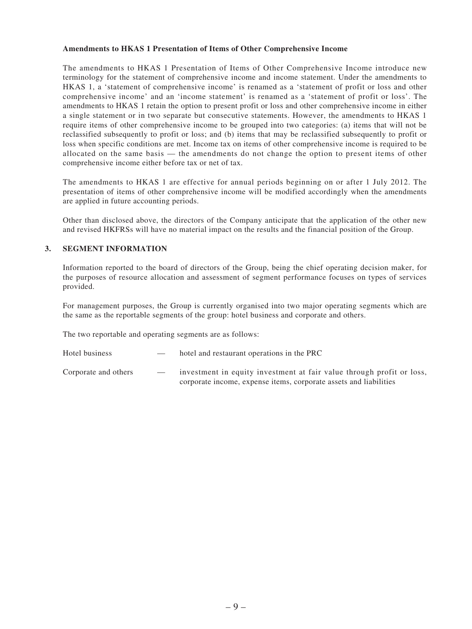#### **Amendments to HKAS 1 Presentation of Items of Other Comprehensive Income**

The amendments to HKAS 1 Presentation of Items of Other Comprehensive Income introduce new terminology for the statement of comprehensive income and income statement. Under the amendments to HKAS 1, a 'statement of comprehensive income' is renamed as a 'statement of profit or loss and other comprehensive income' and an 'income statement' is renamed as a 'statement of profit or loss'. The amendments to HKAS 1 retain the option to present profit or loss and other comprehensive income in either a single statement or in two separate but consecutive statements. However, the amendments to HKAS 1 require items of other comprehensive income to be grouped into two categories: (a) items that will not be reclassified subsequently to profit or loss; and (b) items that may be reclassified subsequently to profit or loss when specific conditions are met. Income tax on items of other comprehensive income is required to be allocated on the same basis — the amendments do not change the option to present items of other comprehensive income either before tax or net of tax.

The amendments to HKAS 1 are effective for annual periods beginning on or after 1 July 2012. The presentation of items of other comprehensive income will be modified accordingly when the amendments are applied in future accounting periods.

Other than disclosed above, the directors of the Company anticipate that the application of the other new and revised HKFRSs will have no material impact on the results and the financial position of the Group.

### **3. SEGMENT INFORMATION**

Information reported to the board of directors of the Group, being the chief operating decision maker, for the purposes of resource allocation and assessment of segment performance focuses on types of services provided.

For management purposes, the Group is currently organised into two major operating segments which are the same as the reportable segments of the group: hotel business and corporate and others.

The two reportable and operating segments are as follows:

Hotel business — hotel and restaurant operations in the PRC Corporate and others — investment in equity investment at fair value through profit or loss, corporate income, expense items, corporate assets and liabilities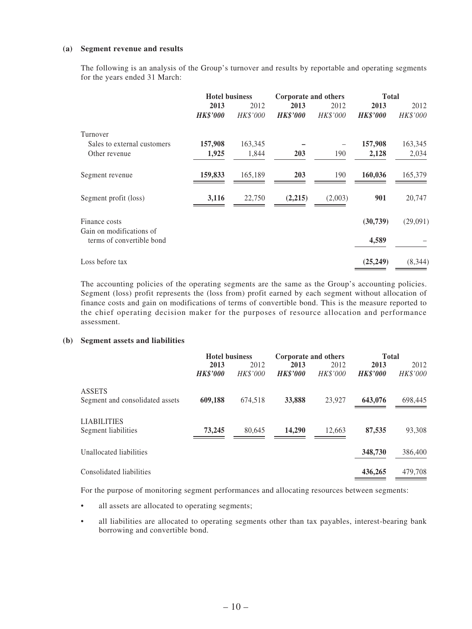#### **(a) Segment revenue and results**

The following is an analysis of the Group's turnover and results by reportable and operating segments for the years ended 31 March:

|                                                       | <b>Hotel business</b> |          | Corporate and others |          | <b>Total</b>    |          |
|-------------------------------------------------------|-----------------------|----------|----------------------|----------|-----------------|----------|
|                                                       | 2013                  | 2012     | 2013                 | 2012     | 2013            | 2012     |
|                                                       | <b>HK\$'000</b>       | HK\$'000 | <b>HK\$'000</b>      | HK\$'000 | <b>HK\$'000</b> | HK\$'000 |
| Turnover                                              |                       |          |                      |          |                 |          |
| Sales to external customers                           | 157,908               | 163,345  |                      | -        | 157,908         | 163,345  |
| Other revenue                                         | 1,925                 | 1,844    | 203                  | 190      | 2,128           | 2,034    |
| Segment revenue                                       | 159,833               | 165,189  | 203                  | 190      | 160,036         | 165,379  |
| Segment profit (loss)                                 | 3,116                 | 22,750   | (2,215)              | (2,003)  | 901             | 20,747   |
| Finance costs                                         |                       |          |                      |          | (30, 739)       | (29,091) |
| Gain on modifications of<br>terms of convertible bond |                       |          |                      |          | 4,589           |          |
| Loss before tax                                       |                       |          |                      |          | (25, 249)       | (8,344)  |

The accounting policies of the operating segments are the same as the Group's accounting policies. Segment (loss) profit represents the (loss from) profit earned by each segment without allocation of finance costs and gain on modifications of terms of convertible bond. This is the measure reported to the chief operating decision maker for the purposes of resource allocation and performance assessment.

#### **(b) Segment assets and liabilities**

|                                                  | <b>Hotel business</b>   |                         | Corporate and others    |                         | <b>Total</b>            |                  |
|--------------------------------------------------|-------------------------|-------------------------|-------------------------|-------------------------|-------------------------|------------------|
|                                                  | 2013<br><b>HK\$'000</b> | 2012<br><b>HK\$'000</b> | 2013<br><b>HK\$'000</b> | 2012<br><b>HK\$'000</b> | 2013<br><b>HK\$'000</b> | 2012<br>HK\$'000 |
| <b>ASSETS</b><br>Segment and consolidated assets | 609,188                 | 674.518                 | 33,888                  | 23.927                  | 643,076                 | 698,445          |
| <b>LIABILITIES</b><br>Segment liabilities        | 73,245                  | 80.645                  | 14.290                  | 12,663                  | 87,535                  | 93,308           |
| Unallocated liabilities                          |                         |                         |                         |                         | 348,730                 | 386,400          |
| Consolidated liabilities                         |                         |                         |                         |                         | 436,265                 | 479,708          |

For the purpose of monitoring segment performances and allocating resources between segments:

- all assets are allocated to operating segments;
- • all liabilities are allocated to operating segments other than tax payables, interest-bearing bank borrowing and convertible bond.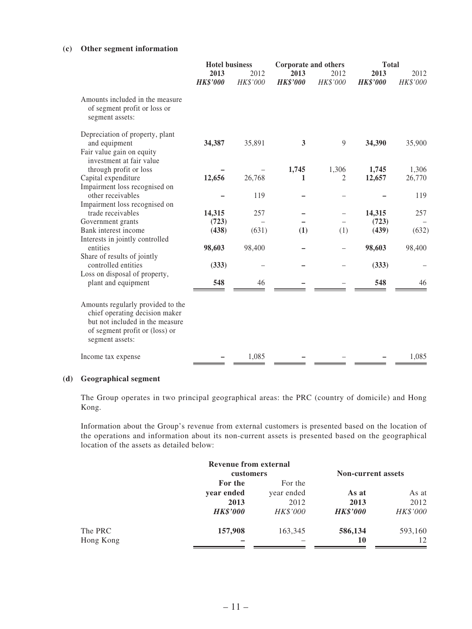### **(c) Other segment information**

|                                                                                                                                                             | <b>Hotel business</b>   |                  | Corporate and others    |                  | <b>Total</b>            |                  |
|-------------------------------------------------------------------------------------------------------------------------------------------------------------|-------------------------|------------------|-------------------------|------------------|-------------------------|------------------|
|                                                                                                                                                             | 2013<br><b>HK\$'000</b> | 2012<br>HK\$'000 | 2013<br><b>HK\$'000</b> | 2012<br>HK\$'000 | 2013<br><b>HK\$'000</b> | 2012<br>HK\$'000 |
| Amounts included in the measure<br>of segment profit or loss or<br>segment assets:                                                                          |                         |                  |                         |                  |                         |                  |
| Depreciation of property, plant                                                                                                                             |                         |                  |                         |                  |                         |                  |
| and equipment                                                                                                                                               | 34,387                  | 35,891           | 3                       | 9                | 34,390                  | 35,900           |
| Fair value gain on equity<br>investment at fair value                                                                                                       |                         |                  |                         |                  |                         |                  |
| through profit or loss                                                                                                                                      |                         |                  | 1,745                   | 1,306            | 1,745                   | 1,306            |
| Capital expenditure                                                                                                                                         | 12,656                  | 26,768           | 1                       | 2                | 12,657                  | 26,770           |
| Impairment loss recognised on                                                                                                                               |                         |                  |                         |                  |                         |                  |
| other receivables                                                                                                                                           |                         | 119              |                         |                  |                         | 119              |
| Impairment loss recognised on                                                                                                                               |                         |                  |                         |                  |                         |                  |
| trade receivables                                                                                                                                           | 14,315                  | 257              |                         |                  | 14,315                  | 257              |
| Government grants                                                                                                                                           | (723)                   |                  |                         |                  | (723)                   |                  |
| Bank interest income                                                                                                                                        | (438)                   | (631)            | (1)                     | (1)              | (439)                   | (632)            |
| Interests in jointly controlled                                                                                                                             |                         |                  |                         |                  |                         |                  |
| entities                                                                                                                                                    | 98,603                  | 98,400           |                         |                  | 98,603                  | 98,400           |
| Share of results of jointly                                                                                                                                 |                         |                  |                         |                  |                         |                  |
| controlled entities                                                                                                                                         | (333)                   |                  |                         |                  | (333)                   |                  |
| Loss on disposal of property,                                                                                                                               |                         |                  |                         |                  |                         |                  |
| plant and equipment                                                                                                                                         | 548                     | 46               |                         |                  | 548                     | 46               |
| Amounts regularly provided to the<br>chief operating decision maker<br>but not included in the measure<br>of segment profit or (loss) or<br>segment assets: |                         |                  |                         |                  |                         |                  |
| Income tax expense                                                                                                                                          |                         | 1,085            |                         |                  |                         | 1,085            |

### **(d) Geographical segment**

The Group operates in two principal geographical areas: the PRC (country of domicile) and Hong Kong.

Information about the Group's revenue from external customers is presented based on the location of the operations and information about its non-current assets is presented based on the geographical location of the assets as detailed below:

|           | <b>Revenue from external</b> |                 |                           |          |
|-----------|------------------------------|-----------------|---------------------------|----------|
|           | customers                    |                 | <b>Non-current assets</b> |          |
|           | For the                      | For the         |                           |          |
|           | year ended                   | year ended      | As at                     | As at    |
|           | 2013                         | 2012            | 2013                      | 2012     |
|           | <b>HK\$'000</b>              | <b>HK\$'000</b> | <b>HK\$'000</b>           | HK\$'000 |
| The PRC   | 157,908                      | 163,345         | 586,134                   | 593,160  |
| Hong Kong |                              |                 | 10                        | 12       |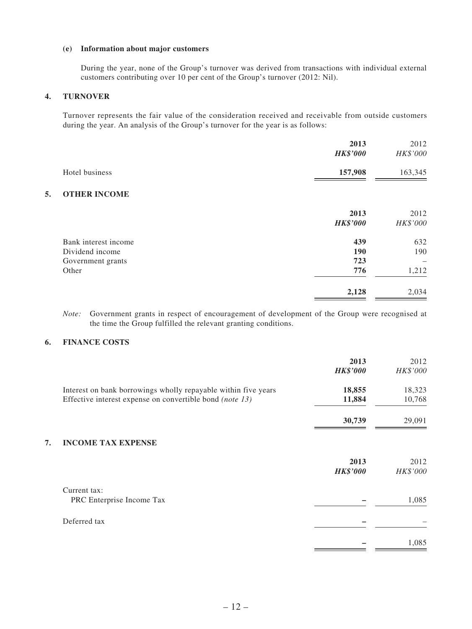### **(e) Information about major customers**

During the year, none of the Group's turnover was derived from transactions with individual external customers contributing over 10 per cent of the Group's turnover (2012: Nil).

### **4. TURNOVER**

Turnover represents the fair value of the consideration received and receivable from outside customers during the year. An analysis of the Group's turnover for the year is as follows:

|                                                                       | 2013<br><b>HK\$'000</b>  | 2012<br>HK\$'000    |
|-----------------------------------------------------------------------|--------------------------|---------------------|
| Hotel business                                                        | 157,908                  | 163,345             |
| <b>OTHER INCOME</b><br>5.                                             |                          |                     |
|                                                                       | 2013<br><b>HK\$'000</b>  | 2012<br>HK\$'000    |
| Bank interest income<br>Dividend income<br>Government grants<br>Other | 439<br>190<br>723<br>776 | 632<br>190<br>1,212 |
|                                                                       | 2,128                    | 2,034               |

*Note:* Government grants in respect of encouragement of development of the Group were recognised at the time the Group fulfilled the relevant granting conditions.

### **6. FINANCE COSTS**

|                                                                | 2013<br><b>HK\$'000</b> | 2012<br>HK\$'000 |
|----------------------------------------------------------------|-------------------------|------------------|
| Interest on bank borrowings wholly repayable within five years | 18,855                  | 18,323           |
| Effective interest expense on convertible bond (note 13)       | 11,884                  | 10,768           |
|                                                                | 30,739                  | 29,091           |
| <b>INCOME TAX EXPENSE</b><br>7.                                |                         |                  |
|                                                                | 2013<br><b>HK\$'000</b> | 2012<br>HK\$'000 |
| Current tax:                                                   |                         |                  |
| PRC Enterprise Income Tax                                      |                         | 1,085            |
| Deferred tax                                                   |                         |                  |
|                                                                |                         | 1,085            |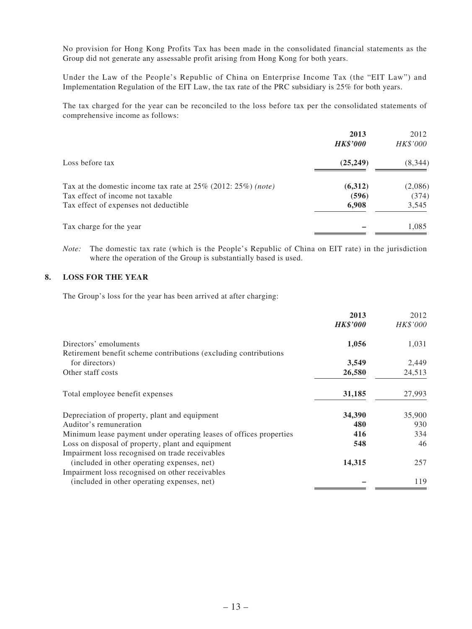No provision for Hong Kong Profits Tax has been made in the consolidated financial statements as the Group did not generate any assessable profit arising from Hong Kong for both years.

Under the Law of the People's Republic of China on Enterprise Income Tax (the "EIT Law") and Implementation Regulation of the EIT Law, the tax rate of the PRC subsidiary is 25% for both years.

The tax charged for the year can be reconciled to the loss before tax per the consolidated statements of comprehensive income as follows:

|                                                                      | 2013<br><b>HK\$'000</b> | 2012<br>HK\$'000 |
|----------------------------------------------------------------------|-------------------------|------------------|
| Loss before tax                                                      | (25, 249)               | (8, 344)         |
| Tax at the domestic income tax rate at $25\%$ (2012: $25\%$ ) (note) | (6,312)                 | (2,086)          |
| Tax effect of income not taxable                                     | (596)                   | (374)            |
| Tax effect of expenses not deductible                                | 6,908                   | 3,545            |
| Tax charge for the year                                              |                         | 1,085            |

*Note:* The domestic tax rate (which is the People's Republic of China on EIT rate) in the jurisdiction where the operation of the Group is substantially based is used.

## **8. LOSS FOR THE YEAR**

The Group's loss for the year has been arrived at after charging:

|                                                                    | 2013            | 2012     |
|--------------------------------------------------------------------|-----------------|----------|
|                                                                    | <b>HK\$'000</b> | HK\$'000 |
| Directors' emoluments                                              | 1,056           | 1,031    |
| Retirement benefit scheme contributions (excluding contributions)  |                 |          |
| for directors)                                                     | 3,549           | 2,449    |
| Other staff costs                                                  | 26,580          | 24,513   |
| Total employee benefit expenses                                    | 31,185          | 27,993   |
| Depreciation of property, plant and equipment                      | 34,390          | 35,900   |
| Auditor's remuneration                                             | 480             | 930      |
| Minimum lease payment under operating leases of offices properties | 416             | 334      |
| Loss on disposal of property, plant and equipment                  | 548             | 46       |
| Impairment loss recognised on trade receivables                    |                 |          |
| (included in other operating expenses, net)                        | 14,315          | 257      |
| Impairment loss recognised on other receivables                    |                 |          |
| (included in other operating expenses, net)                        |                 | 119      |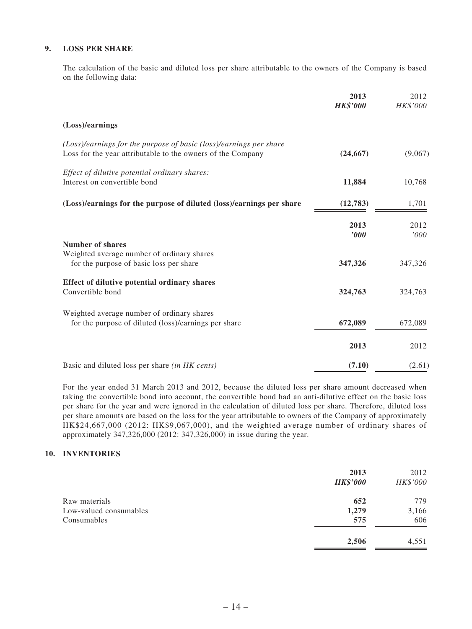### **9. LOSS PER SHARE**

The calculation of the basic and diluted loss per share attributable to the owners of the Company is based on the following data:

|                                                                                                                                   | 2013<br><b>HK\$'000</b> | 2012<br>HK\$'000 |
|-----------------------------------------------------------------------------------------------------------------------------------|-------------------------|------------------|
| (Loss)/earnings                                                                                                                   |                         |                  |
| (Loss)/earnings for the purpose of basic (loss)/earnings per share<br>Loss for the year attributable to the owners of the Company | (24, 667)               | (9,067)          |
| Effect of dilutive potential ordinary shares:<br>Interest on convertible bond                                                     | 11,884                  | 10,768           |
| (Loss)/earnings for the purpose of diluted (loss)/earnings per share                                                              | (12,783)                | 1,701            |
|                                                                                                                                   | 2013<br>2000            | 2012<br>'000     |
| <b>Number of shares</b><br>Weighted average number of ordinary shares<br>for the purpose of basic loss per share                  | 347,326                 | 347,326          |
| Effect of dilutive potential ordinary shares<br>Convertible bond                                                                  | 324,763                 | 324,763          |
| Weighted average number of ordinary shares<br>for the purpose of diluted (loss)/earnings per share                                | 672,089                 | 672,089          |
|                                                                                                                                   | 2013                    | 2012             |
| Basic and diluted loss per share (in HK cents)                                                                                    | (7.10)                  | (2.61)           |

For the year ended 31 March 2013 and 2012, because the diluted loss per share amount decreased when taking the convertible bond into account, the convertible bond had an anti-dilutive effect on the basic loss per share for the year and were ignored in the calculation of diluted loss per share. Therefore, diluted loss per share amounts are based on the loss for the year attributable to owners of the Company of approximately HK\$24,667,000 (2012: HK\$9,067,000), and the weighted average number of ordinary shares of approximately 347,326,000 (2012: 347,326,000) in issue during the year.

### **10. INVENTORIES**

|                        | 2013<br><b>HK\$'000</b> | 2012<br>HK\$'000 |
|------------------------|-------------------------|------------------|
| Raw materials          | 652                     | 779              |
| Low-valued consumables | 1,279                   | 3,166            |
| Consumables            | 575                     | 606              |
|                        | 2,506                   | 4,551            |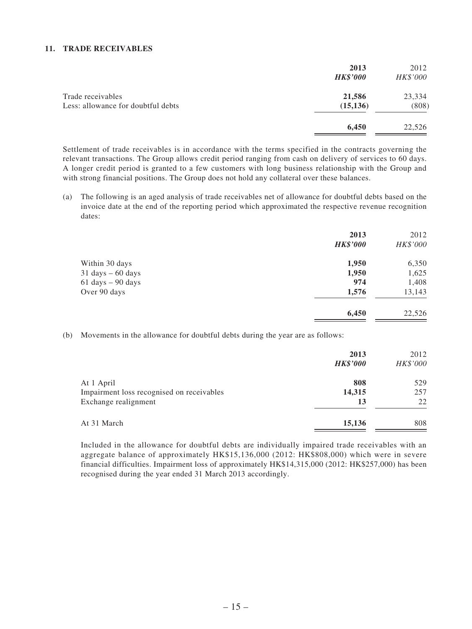#### **11. TRADE RECEIVABLES**

|                                                         | 2013<br><b>HK\$'000</b> | 2012<br>HK\$'000 |
|---------------------------------------------------------|-------------------------|------------------|
| Trade receivables<br>Less: allowance for doubtful debts | 21,586<br>(15, 136)     | 23,334<br>(808)  |
|                                                         | 6,450                   | 22,526           |

Settlement of trade receivables is in accordance with the terms specified in the contracts governing the relevant transactions. The Group allows credit period ranging from cash on delivery of services to 60 days. A longer credit period is granted to a few customers with long business relationship with the Group and with strong financial positions. The Group does not hold any collateral over these balances.

(a) The following is an aged analysis of trade receivables net of allowance for doubtful debts based on the invoice date at the end of the reporting period which approximated the respective revenue recognition dates:

|                                     | 2013<br><b>HK\$'000</b> | 2012<br>HK\$'000 |
|-------------------------------------|-------------------------|------------------|
| Within 30 days                      | 1,950                   | 6,350            |
| $31 \text{ days} - 60 \text{ days}$ | 1,950                   | 1,625            |
| $61 \text{ days} - 90 \text{ days}$ | 974                     | 1,408            |
| Over 90 days                        | 1,576                   | 13,143           |
|                                     | 6,450                   | 22,526           |

(b) Movements in the allowance for doubtful debts during the year are as follows:

|                                           | 2013<br><b>HK\$'000</b> | 2012<br>HK\$'000 |
|-------------------------------------------|-------------------------|------------------|
| At 1 April                                | 808                     | 529              |
| Impairment loss recognised on receivables | 14,315                  | 257              |
| Exchange realignment                      | 13                      | 22               |
| At 31 March                               | 15,136                  | 808              |

Included in the allowance for doubtful debts are individually impaired trade receivables with an aggregate balance of approximately HK\$15,136,000 (2012: HK\$808,000) which were in severe financial difficulties. Impairment loss of approximately HK\$14,315,000 (2012: HK\$257,000) has been recognised during the year ended 31 March 2013 accordingly.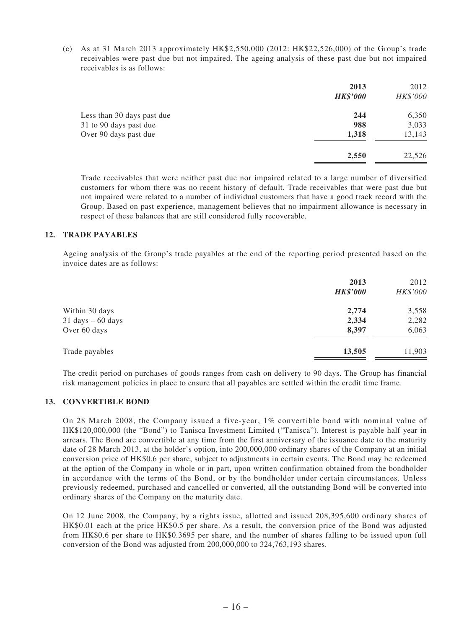(c) As at 31 March 2013 approximately HK\$2,550,000 (2012: HK\$22,526,000) of the Group's trade receivables were past due but not impaired. The ageing analysis of these past due but not impaired receivables is as follows:

|                            | 2013<br><b>HK\$'000</b> | 2012<br>HK\$'000 |
|----------------------------|-------------------------|------------------|
| Less than 30 days past due | 244                     | 6,350            |
| 31 to 90 days past due     | 988                     | 3,033            |
| Over 90 days past due      | 1,318                   | 13,143           |
|                            | 2,550                   | 22,526           |

Trade receivables that were neither past due nor impaired related to a large number of diversified customers for whom there was no recent history of default. Trade receivables that were past due but not impaired were related to a number of individual customers that have a good track record with the Group. Based on past experience, management believes that no impairment allowance is necessary in respect of these balances that are still considered fully recoverable.

#### **12. TRADE PAYABLES**

Ageing analysis of the Group's trade payables at the end of the reporting period presented based on the invoice dates are as follows:

|                                     | 2013<br><b>HK\$'000</b> | 2012<br>HK\$'000 |
|-------------------------------------|-------------------------|------------------|
| Within 30 days                      | 2,774                   | 3,558            |
| $31 \text{ days} - 60 \text{ days}$ | 2,334                   | 2,282            |
| Over 60 days                        | 8,397                   | 6,063            |
| Trade payables                      | 13,505                  | 11,903           |
|                                     |                         |                  |

The credit period on purchases of goods ranges from cash on delivery to 90 days. The Group has financial risk management policies in place to ensure that all payables are settled within the credit time frame.

## **13. CONVERTIBLE BOND**

On 28 March 2008, the Company issued a five-year, 1% convertible bond with nominal value of HK\$120,000,000 (the "Bond") to Tanisca Investment Limited ("Tanisca"). Interest is payable half year in arrears. The Bond are convertible at any time from the first anniversary of the issuance date to the maturity date of 28 March 2013, at the holder's option, into 200,000,000 ordinary shares of the Company at an initial conversion price of HK\$0.6 per share, subject to adjustments in certain events. The Bond may be redeemed at the option of the Company in whole or in part, upon written confirmation obtained from the bondholder in accordance with the terms of the Bond, or by the bondholder under certain circumstances. Unless previously redeemed, purchased and cancelled or converted, all the outstanding Bond will be converted into ordinary shares of the Company on the maturity date.

On 12 June 2008, the Company, by a rights issue, allotted and issued 208,395,600 ordinary shares of HK\$0.01 each at the price HK\$0.5 per share. As a result, the conversion price of the Bond was adjusted from HK\$0.6 per share to HK\$0.3695 per share, and the number of shares falling to be issued upon full conversion of the Bond was adjusted from 200,000,000 to 324,763,193 shares.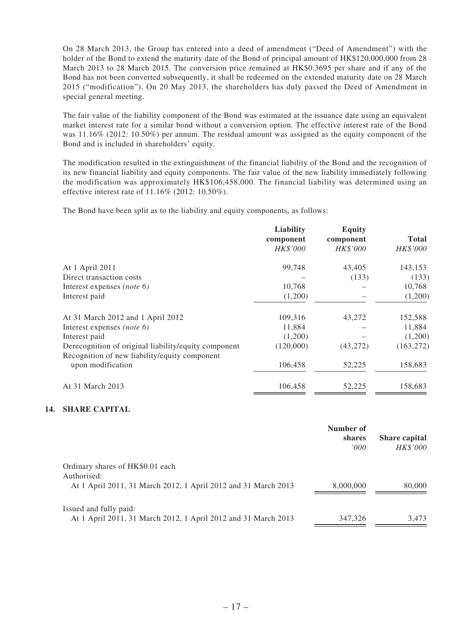On 28 March 2013, the Group has entered into a deed of amendment ("Deed of Amendment") with the holder of the Bond to extend the maturity date of the Bond of principal amount of HK\$120,000,000 from 28 March 2013 to 28 March 2015. The conversion price remained at HK\$0.3695 per share and if any of the Bond has not been converted subsequently, it shall be redeemed on the extended maturity date on 28 March 2015 ("modification"). On 20 May 2013, the shareholders has duly passed the Deed of Amendment in special general meeting.

The fair value of the liability component of the Bond was estimated at the issuance date using an equivalent market interest rate for a similar bond without a conversion option. The effective interest rate of the Bond was 11.16% (2012: 10.50%) per annum. The residual amount was assigned as the equity component of the Bond and is included in shareholders' equity.

The modification resulted in the extinguishment of the financial liability of the Bond and the recognition of its new financial liability and equity components. The fair value of the new liability immediately following the modification was approximately HK\$106,458,000. The financial liability was determined using an effective interest rate of 11.16% (2012: 10.50%).

The Bond have been split as to the liability and equity components, as follows:

| Liability<br>component | <b>Equity</b><br>component | <b>Total</b> |
|------------------------|----------------------------|--------------|
| HK\$'000               | HK\$'000                   | HK\$'000     |
| 99,748                 | 43.405                     | 143,153      |
|                        | (133)                      | (133)        |
| 10,768                 |                            | 10,768       |
| (1,200)                |                            | (1,200)      |
| 109,316                | 43,272                     | 152,588      |
| 11,884                 |                            | 11,884       |
| (1,200)                |                            | (1,200)      |
| (120,000)              | (43, 272)                  | (163, 272)   |
| 106,458                | 52,225                     | 158,683      |
| 106,458                | 52,225                     | 158,683      |
|                        |                            |              |

### **14. SHARE CAPITAL**

|                                                                                                                   | Number of<br>shares<br>'000' | <b>Share capital</b><br><b>HK\$'000</b> |
|-------------------------------------------------------------------------------------------------------------------|------------------------------|-----------------------------------------|
| Ordinary shares of HK\$0.01 each<br>Authorised:<br>At 1 April 2011, 31 March 2012, 1 April 2012 and 31 March 2013 | 8,000,000                    | 80,000                                  |
| Issued and fully paid:<br>At 1 April 2011, 31 March 2012, 1 April 2012 and 31 March 2013                          | 347,326                      | 3,473                                   |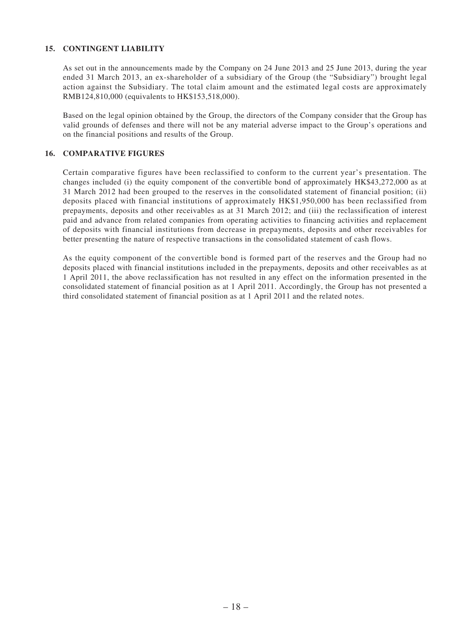### **15. CONTINGENT LIABILITY**

As set out in the announcements made by the Company on 24 June 2013 and 25 June 2013, during the year ended 31 March 2013, an ex-shareholder of a subsidiary of the Group (the "Subsidiary") brought legal action against the Subsidiary. The total claim amount and the estimated legal costs are approximately RMB124,810,000 (equivalents to HK\$153,518,000).

Based on the legal opinion obtained by the Group, the directors of the Company consider that the Group has valid grounds of defenses and there will not be any material adverse impact to the Group's operations and on the financial positions and results of the Group.

### **16. COMPARATIVE FIGURES**

Certain comparative figures have been reclassified to conform to the current year's presentation. The changes included (i) the equity component of the convertible bond of approximately HK\$43,272,000 as at 31 March 2012 had been grouped to the reserves in the consolidated statement of financial position; (ii) deposits placed with financial institutions of approximately HK\$1,950,000 has been reclassified from prepayments, deposits and other receivables as at 31 March 2012; and (iii) the reclassification of interest paid and advance from related companies from operating activities to financing activities and replacement of deposits with financial institutions from decrease in prepayments, deposits and other receivables for better presenting the nature of respective transactions in the consolidated statement of cash flows.

As the equity component of the convertible bond is formed part of the reserves and the Group had no deposits placed with financial institutions included in the prepayments, deposits and other receivables as at 1 April 2011, the above reclassification has not resulted in any effect on the information presented in the consolidated statement of financial position as at 1 April 2011. Accordingly, the Group has not presented a third consolidated statement of financial position as at 1 April 2011 and the related notes.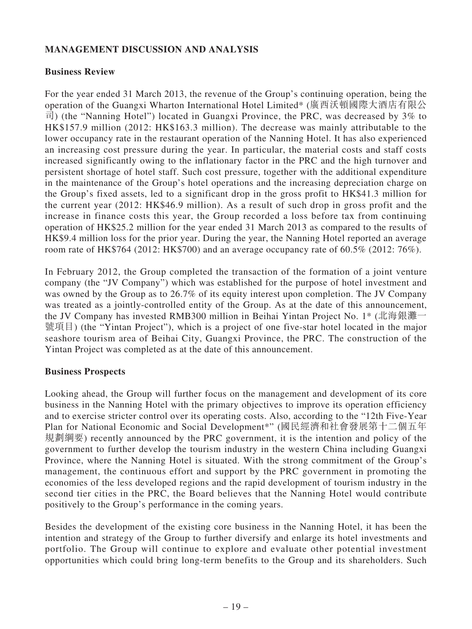## **MANAGEMENT DISCUSSION AND ANALYSIS**

## **Business Review**

For the year ended 31 March 2013, the revenue of the Group's continuing operation, being the operation of the Guangxi Wharton International Hotel Limited\* (廣西沃頓國際大酒店有限公 司) (the "Nanning Hotel") located in Guangxi Province, the PRC, was decreased by 3% to HK\$157.9 million (2012: HK\$163.3 million). The decrease was mainly attributable to the lower occupancy rate in the restaurant operation of the Nanning Hotel. It has also experienced an increasing cost pressure during the year. In particular, the material costs and staff costs increased significantly owing to the inflationary factor in the PRC and the high turnover and persistent shortage of hotel staff. Such cost pressure, together with the additional expenditure in the maintenance of the Group's hotel operations and the increasing depreciation charge on the Group's fixed assets, led to a significant drop in the gross profit to HK\$41.3 million for the current year (2012: HK\$46.9 million). As a result of such drop in gross profit and the increase in finance costs this year, the Group recorded a loss before tax from continuing operation of HK\$25.2 million for the year ended 31 March 2013 as compared to the results of HK\$9.4 million loss for the prior year. During the year, the Nanning Hotel reported an average room rate of HK\$764 (2012: HK\$700) and an average occupancy rate of 60.5% (2012: 76%).

In February 2012, the Group completed the transaction of the formation of a joint venture company (the "JV Company") which was established for the purpose of hotel investment and was owned by the Group as to 26.7% of its equity interest upon completion. The JV Company was treated as a jointly-controlled entity of the Group. As at the date of this announcement, the JV Company has invested RMB300 million in Beihai Yintan Project No. 1\* (北海銀灘一 號項目) (the "Yintan Project"), which is a project of one five-star hotel located in the major seashore tourism area of Beihai City, Guangxi Province, the PRC. The construction of the Yintan Project was completed as at the date of this announcement.

## **Business Prospects**

Looking ahead, the Group will further focus on the management and development of its core business in the Nanning Hotel with the primary objectives to improve its operation efficiency and to exercise stricter control over its operating costs. Also, according to the "12th Five-Year Plan for National Economic and Social Development\*" (國民經濟和社會發展第十二個五年 規劃綱要) recently announced by the PRC government, it is the intention and policy of the government to further develop the tourism industry in the western China including Guangxi Province, where the Nanning Hotel is situated. With the strong commitment of the Group's management, the continuous effort and support by the PRC government in promoting the economies of the less developed regions and the rapid development of tourism industry in the second tier cities in the PRC, the Board believes that the Nanning Hotel would contribute positively to the Group's performance in the coming years.

Besides the development of the existing core business in the Nanning Hotel, it has been the intention and strategy of the Group to further diversify and enlarge its hotel investments and portfolio. The Group will continue to explore and evaluate other potential investment opportunities which could bring long-term benefits to the Group and its shareholders. Such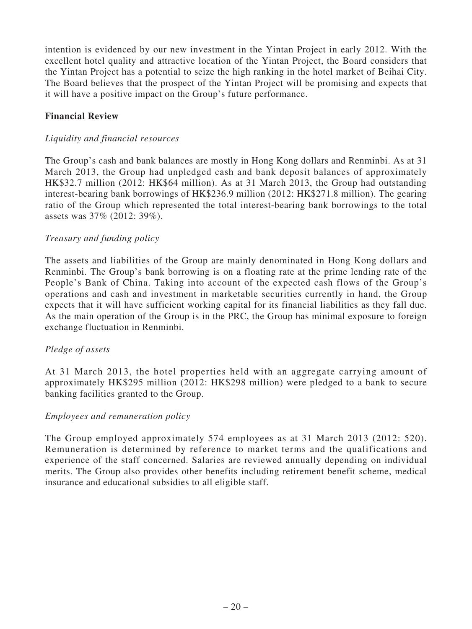intention is evidenced by our new investment in the Yintan Project in early 2012. With the excellent hotel quality and attractive location of the Yintan Project, the Board considers that the Yintan Project has a potential to seize the high ranking in the hotel market of Beihai City. The Board believes that the prospect of the Yintan Project will be promising and expects that it will have a positive impact on the Group's future performance.

## **Financial Review**

## *Liquidity and financial resources*

The Group's cash and bank balances are mostly in Hong Kong dollars and Renminbi. As at 31 March 2013, the Group had unpledged cash and bank deposit balances of approximately HK\$32.7 million (2012: HK\$64 million). As at 31 March 2013, the Group had outstanding interest-bearing bank borrowings of HK\$236.9 million (2012: HK\$271.8 million). The gearing ratio of the Group which represented the total interest-bearing bank borrowings to the total assets was 37% (2012: 39%).

## *Treasury and funding policy*

The assets and liabilities of the Group are mainly denominated in Hong Kong dollars and Renminbi. The Group's bank borrowing is on a floating rate at the prime lending rate of the People's Bank of China. Taking into account of the expected cash flows of the Group's operations and cash and investment in marketable securities currently in hand, the Group expects that it will have sufficient working capital for its financial liabilities as they fall due. As the main operation of the Group is in the PRC, the Group has minimal exposure to foreign exchange fluctuation in Renminbi.

## *Pledge of assets*

At 31 March 2013, the hotel properties held with an aggregate carrying amount of approximately HK\$295 million (2012: HK\$298 million) were pledged to a bank to secure banking facilities granted to the Group.

## *Employees and remuneration policy*

The Group employed approximately 574 employees as at 31 March 2013 (2012: 520). Remuneration is determined by reference to market terms and the qualifications and experience of the staff concerned. Salaries are reviewed annually depending on individual merits. The Group also provides other benefits including retirement benefit scheme, medical insurance and educational subsidies to all eligible staff.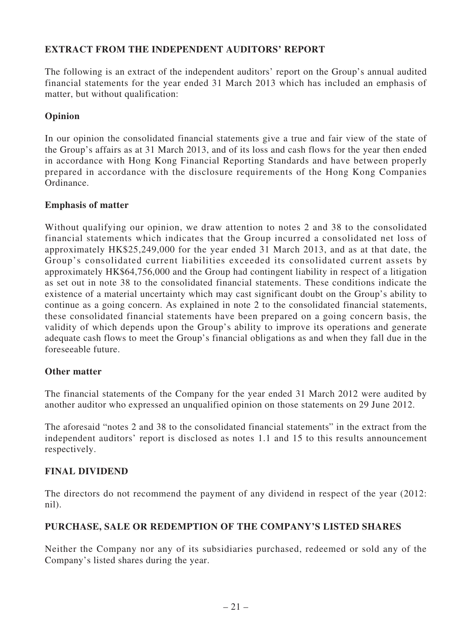## **EXTRACT FROM THE INDEPENDENT AUDITORS' REPORT**

The following is an extract of the independent auditors' report on the Group's annual audited financial statements for the year ended 31 March 2013 which has included an emphasis of matter, but without qualification:

## **Opinion**

In our opinion the consolidated financial statements give a true and fair view of the state of the Group's affairs as at 31 March 2013, and of its loss and cash flows for the year then ended in accordance with Hong Kong Financial Reporting Standards and have between properly prepared in accordance with the disclosure requirements of the Hong Kong Companies Ordinance.

## **Emphasis of matter**

Without qualifying our opinion, we draw attention to notes 2 and 38 to the consolidated financial statements which indicates that the Group incurred a consolidated net loss of approximately HK\$25,249,000 for the year ended 31 March 2013, and as at that date, the Group's consolidated current liabilities exceeded its consolidated current assets by approximately HK\$64,756,000 and the Group had contingent liability in respect of a litigation as set out in note 38 to the consolidated financial statements. These conditions indicate the existence of a material uncertainty which may cast significant doubt on the Group's ability to continue as a going concern. As explained in note 2 to the consolidated financial statements, these consolidated financial statements have been prepared on a going concern basis, the validity of which depends upon the Group's ability to improve its operations and generate adequate cash flows to meet the Group's financial obligations as and when they fall due in the foreseeable future.

## **Other matter**

The financial statements of the Company for the year ended 31 March 2012 were audited by another auditor who expressed an unqualified opinion on those statements on 29 June 2012.

The aforesaid "notes 2 and 38 to the consolidated financial statements" in the extract from the independent auditors' report is disclosed as notes 1.1 and 15 to this results announcement respectively.

## **FINAL DIVIDEND**

The directors do not recommend the payment of any dividend in respect of the year (2012: nil).

## **PURCHASE, SALE OR REDEMPTION OF THE COMPANY'S LISTED SHARES**

Neither the Company nor any of its subsidiaries purchased, redeemed or sold any of the Company's listed shares during the year.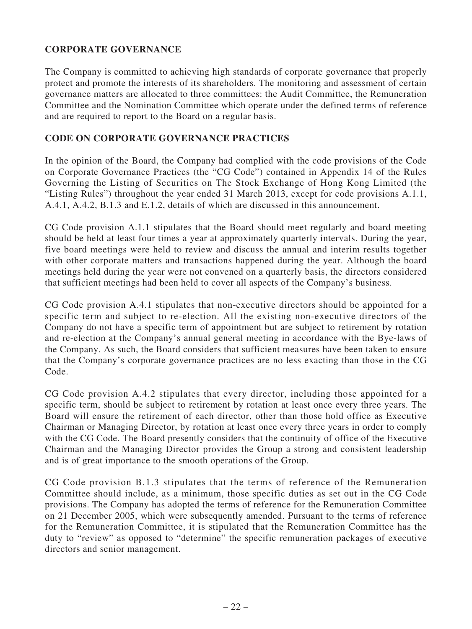## **CORPORATE GOVERNANCE**

The Company is committed to achieving high standards of corporate governance that properly protect and promote the interests of its shareholders. The monitoring and assessment of certain governance matters are allocated to three committees: the Audit Committee, the Remuneration Committee and the Nomination Committee which operate under the defined terms of reference and are required to report to the Board on a regular basis.

## **CODE ON CORPORATE GOVERNANCE PRACTICES**

In the opinion of the Board, the Company had complied with the code provisions of the Code on Corporate Governance Practices (the "CG Code") contained in Appendix 14 of the Rules Governing the Listing of Securities on The Stock Exchange of Hong Kong Limited (the "Listing Rules") throughout the year ended 31 March 2013, except for code provisions A.1.1, A.4.1, A.4.2, B.1.3 and E.1.2, details of which are discussed in this announcement.

CG Code provision A.1.1 stipulates that the Board should meet regularly and board meeting should be held at least four times a year at approximately quarterly intervals. During the year, five board meetings were held to review and discuss the annual and interim results together with other corporate matters and transactions happened during the year. Although the board meetings held during the year were not convened on a quarterly basis, the directors considered that sufficient meetings had been held to cover all aspects of the Company's business.

CG Code provision A.4.1 stipulates that non-executive directors should be appointed for a specific term and subject to re-election. All the existing non-executive directors of the Company do not have a specific term of appointment but are subject to retirement by rotation and re-election at the Company's annual general meeting in accordance with the Bye-laws of the Company. As such, the Board considers that sufficient measures have been taken to ensure that the Company's corporate governance practices are no less exacting than those in the CG Code.

CG Code provision A.4.2 stipulates that every director, including those appointed for a specific term, should be subject to retirement by rotation at least once every three years. The Board will ensure the retirement of each director, other than those hold office as Executive Chairman or Managing Director, by rotation at least once every three years in order to comply with the CG Code. The Board presently considers that the continuity of office of the Executive Chairman and the Managing Director provides the Group a strong and consistent leadership and is of great importance to the smooth operations of the Group.

CG Code provision B.1.3 stipulates that the terms of reference of the Remuneration Committee should include, as a minimum, those specific duties as set out in the CG Code provisions. The Company has adopted the terms of reference for the Remuneration Committee on 21 December 2005, which were subsequently amended. Pursuant to the terms of reference for the Remuneration Committee, it is stipulated that the Remuneration Committee has the duty to "review" as opposed to "determine" the specific remuneration packages of executive directors and senior management.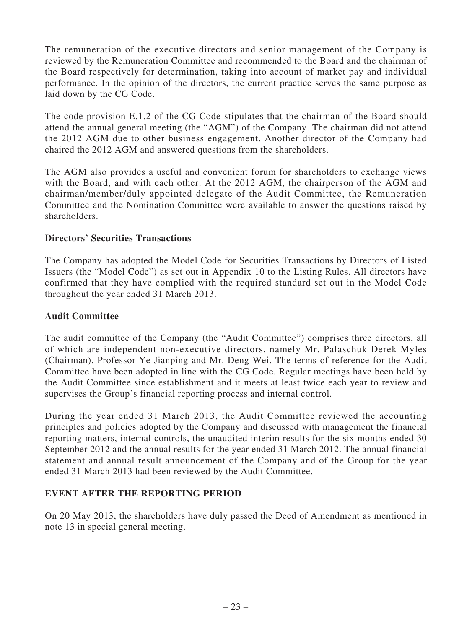The remuneration of the executive directors and senior management of the Company is reviewed by the Remuneration Committee and recommended to the Board and the chairman of the Board respectively for determination, taking into account of market pay and individual performance. In the opinion of the directors, the current practice serves the same purpose as laid down by the CG Code.

The code provision E.1.2 of the CG Code stipulates that the chairman of the Board should attend the annual general meeting (the "AGM") of the Company. The chairman did not attend the 2012 AGM due to other business engagement. Another director of the Company had chaired the 2012 AGM and answered questions from the shareholders.

The AGM also provides a useful and convenient forum for shareholders to exchange views with the Board, and with each other. At the 2012 AGM, the chairperson of the AGM and chairman/member/duly appointed delegate of the Audit Committee, the Remuneration Committee and the Nomination Committee were available to answer the questions raised by shareholders.

## **Directors' Securities Transactions**

The Company has adopted the Model Code for Securities Transactions by Directors of Listed Issuers (the "Model Code") as set out in Appendix 10 to the Listing Rules. All directors have confirmed that they have complied with the required standard set out in the Model Code throughout the year ended 31 March 2013.

## **Audit Committee**

The audit committee of the Company (the "Audit Committee") comprises three directors, all of which are independent non-executive directors, namely Mr. Palaschuk Derek Myles (Chairman), Professor Ye Jianping and Mr. Deng Wei. The terms of reference for the Audit Committee have been adopted in line with the CG Code. Regular meetings have been held by the Audit Committee since establishment and it meets at least twice each year to review and supervises the Group's financial reporting process and internal control.

During the year ended 31 March 2013, the Audit Committee reviewed the accounting principles and policies adopted by the Company and discussed with management the financial reporting matters, internal controls, the unaudited interim results for the six months ended 30 September 2012 and the annual results for the year ended 31 March 2012. The annual financial statement and annual result announcement of the Company and of the Group for the year ended 31 March 2013 had been reviewed by the Audit Committee.

## **EVENT AFTER THE REPORTING PERIOD**

On 20 May 2013, the shareholders have duly passed the Deed of Amendment as mentioned in note 13 in special general meeting.